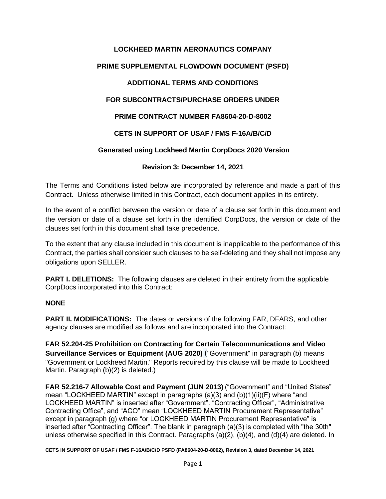# **LOCKHEED MARTIN AERONAUTICS COMPANY PRIME SUPPLEMENTAL FLOWDOWN DOCUMENT (PSFD) ADDITIONAL TERMS AND CONDITIONS FOR SUBCONTRACTS/PURCHASE ORDERS UNDER PRIME CONTRACT NUMBER FA8604-20-D-8002 CETS IN SUPPORT OF USAF / FMS F-16A/B/C/D Generated using Lockheed Martin CorpDocs 2020 Version Revision 3: December 14, 2021**

The Terms and Conditions listed below are incorporated by reference and made a part of this Contract. Unless otherwise limited in this Contract, each document applies in its entirety.

In the event of a conflict between the version or date of a clause set forth in this document and the version or date of a clause set forth in the identified CorpDocs, the version or date of the clauses set forth in this document shall take precedence.

To the extent that any clause included in this document is inapplicable to the performance of this Contract, the parties shall consider such clauses to be self-deleting and they shall not impose any obligations upon SELLER.

**PART I. DELETIONS:** The following clauses are deleted in their entirety from the applicable CorpDocs incorporated into this Contract:

#### **NONE**

**PART II. MODIFICATIONS:** The dates or versions of the following FAR, DFARS, and other agency clauses are modified as follows and are incorporated into the Contract:

**FAR 52.204-25 Prohibition on Contracting for Certain Telecommunications and Video Surveillance Services or Equipment (AUG 2020)** ("Government" in paragraph (b) means "Government or Lockheed Martin." Reports required by this clause will be made to Lockheed Martin. Paragraph (b)(2) is deleted.)

**FAR 52.216-7 Allowable Cost and Payment (JUN 2013)** ("Government" and "United States" mean "LOCKHEED MARTIN" except in paragraphs (a)(3) and (b)(1)(ii)(F) where "and LOCKHEED MARTIN" is inserted after "Government". "Contracting Officer", "Administrative Contracting Office", and "ACO" mean "LOCKHEED MARTIN Procurement Representative" except in paragraph (g) where "or LOCKHEED MARTIN Procurement Representative" is inserted after "Contracting Officer". The blank in paragraph (a)(3) is completed with "the 30th" unless otherwise specified in this Contract. Paragraphs (a)(2), (b)(4), and (d)(4) are deleted. In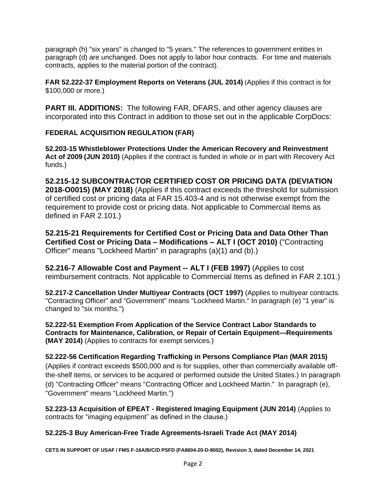paragraph (h) "six years" is changed to "5 years." The references to government entities in paragraph (d) are unchanged. Does not apply to labor hour contracts. For time and materials contracts, applies to the material portion of the contract).

**FAR 52.222-37 Employment Reports on Veterans (JUL 2014)** (Applies if this contract is for \$100,000 or more.)

**PART III. ADDITIONS:** The following FAR, DFARS, and other agency clauses are incorporated into this Contract in addition to those set out in the applicable CorpDocs:

#### **FEDERAL ACQUISITION REGULATION (FAR)**

**52.203-15 Whistleblower Protections Under the American Recovery and Reinvestment Act of 2009 (JUN 2010)** (Applies if the contract is funded in whole or in part with Recovery Act funds.)

**52.215-12 SUBCONTRACTOR CERTIFIED COST OR PRICING DATA (DEVIATION 2018-O0015) (MAY 2018)** (Applies if this contract exceeds the threshold for submission of certified cost or pricing data at FAR 15.403-4 and is not otherwise exempt from the requirement to provide cost or pricing data. Not applicable to Commercial Items as defined in FAR 2.101.)

**52.215-21 Requirements for Certified Cost or Pricing Data and Data Other Than Certified Cost or Pricing Data – Modifications – ALT I (OCT 2010)** ("Contracting Officer" means "Lockheed Martin" in paragraphs (a)(1) and (b).)

**52.216-7 Allowable Cost and Payment -- ALT I (FEB 1997)** (Applies to cost reimbursement contracts. Not applicable to Commercial Items as defined in FAR 2.101.)

**52.217-2 Cancellation Under Multiyear Contracts (OCT 1997)** (Applies to multiyear contracts. "Contracting Officer" and "Government" means "Lockheed Martin." In paragraph (e) "1 year" is changed to "six months.")

**52.222-51 Exemption From Application of the Service Contract Labor Standards to Contracts for Maintenance, Calibration, or Repair of Certain Equipment—Requirements (MAY 2014)** (Applies to contracts for exempt services.)

## **52.222-56 Certification Regarding Trafficking in Persons Compliance Plan (MAR 2015)**

(Applies if contract exceeds \$500,000 and is for supplies, other than commercially available offthe-shelf items, or services to be acquired or performed outside the United States.) In paragraph (d) "Contracting Officer" means "Contracting Officer and Lockheed Martin." In paragraph (e), "Government" means "Lockheed Martin.")

**52.223-13 Acquisition of EPEAT - Registered Imaging Equipment (JUN 2014)** (Applies to contracts for "imaging equipment" as defined in the clause.)

#### **52.225-3 Buy American-Free Trade Agreements-Israeli Trade Act (MAY 2014)**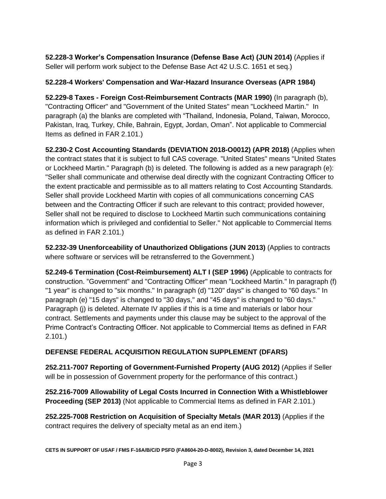**52.228-3 Worker's Compensation Insurance (Defense Base Act) (JUN 2014)** (Applies if Seller will perform work subject to the Defense Base Act 42 U.S.C. 1651 et seq.)

#### **52.228-4 Workers' Compensation and War-Hazard Insurance Overseas (APR 1984)**

**52.229-8 Taxes - Foreign Cost-Reimbursement Contracts (MAR 1990)** (In paragraph (b), "Contracting Officer" and "Government of the United States" mean "Lockheed Martin." In paragraph (a) the blanks are completed with "Thailand, Indonesia, Poland, Taiwan, Morocco, Pakistan, Iraq, Turkey, Chile, Bahrain, Egypt, Jordan, Oman". Not applicable to Commercial Items as defined in FAR 2.101.)

**52.230-2 Cost Accounting Standards (DEVIATION 2018-O0012) (APR 2018)** (Applies when the contract states that it is subject to full CAS coverage. "United States" means "United States or Lockheed Martin." Paragraph (b) is deleted. The following is added as a new paragraph (e): "Seller shall communicate and otherwise deal directly with the cognizant Contracting Officer to the extent practicable and permissible as to all matters relating to Cost Accounting Standards. Seller shall provide Lockheed Martin with copies of all communications concerning CAS between and the Contracting Officer if such are relevant to this contract; provided however, Seller shall not be required to disclose to Lockheed Martin such communications containing information which is privileged and confidential to Seller." Not applicable to Commercial Items as defined in FAR 2.101.)

**52.232-39 Unenforceability of Unauthorized Obligations (JUN 2013)** (Applies to contracts where software or services will be retransferred to the Government.)

**52.249-6 Termination (Cost-Reimbursement) ALT I (SEP 1996)** (Applicable to contracts for construction. "Government" and "Contracting Officer" mean "Lockheed Martin." In paragraph (f) "1 year" is changed to "six months." In paragraph (d) "120" days" is changed to "60 days." In paragraph (e) "15 days" is changed to "30 days," and "45 days" is changed to "60 days." Paragraph (j) is deleted. Alternate IV applies if this is a time and materials or labor hour contract. Settlements and payments under this clause may be subject to the approval of the Prime Contract's Contracting Officer. Not applicable to Commercial Items as defined in FAR 2.101.)

#### **DEFENSE FEDERAL ACQUISITION REGULATION SUPPLEMENT (DFARS)**

**252.211-7007 Reporting of Government-Furnished Property (AUG 2012)** (Applies if Seller will be in possession of Government property for the performance of this contract.)

**252.216-7009 Allowability of Legal Costs Incurred in Connection With a Whistleblower Proceeding (SEP 2013)** (Not applicable to Commercial Items as defined in FAR 2.101.)

**252.225-7008 Restriction on Acquisition of Specialty Metals (MAR 2013)** (Applies if the contract requires the delivery of specialty metal as an end item.)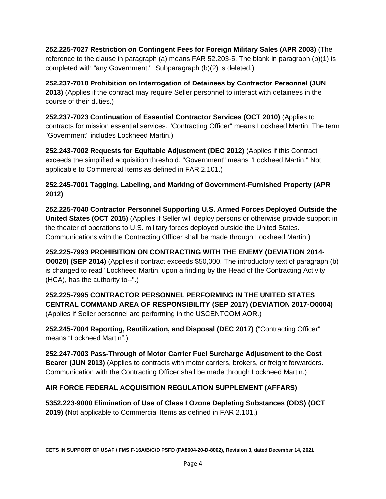**252.225-7027 Restriction on Contingent Fees for Foreign Military Sales (APR 2003)** (The reference to the clause in paragraph (a) means FAR 52.203-5. The blank in paragraph (b)(1) is completed with "any Government." Subparagraph (b)(2) is deleted.)

**252.237-7010 Prohibition on Interrogation of Detainees by Contractor Personnel (JUN 2013)** (Applies if the contract may require Seller personnel to interact with detainees in the course of their duties.)

**252.237-7023 Continuation of Essential Contractor Services (OCT 2010)** (Applies to contracts for mission essential services. "Contracting Officer" means Lockheed Martin. The term "Government" includes Lockheed Martin.)

**252.243-7002 Requests for Equitable Adjustment (DEC 2012)** (Applies if this Contract exceeds the simplified acquisition threshold. "Government" means "Lockheed Martin." Not applicable to Commercial Items as defined in FAR 2.101.)

**252.245-7001 Tagging, Labeling, and Marking of Government-Furnished Property (APR 2012)**

**252.225-7040 Contractor Personnel Supporting U.S. Armed Forces Deployed Outside the United States (OCT 2015)** (Applies if Seller will deploy persons or otherwise provide support in the theater of operations to U.S. military forces deployed outside the United States. Communications with the Contracting Officer shall be made through Lockheed Martin.)

**252.225-7993 PROHIBITION ON CONTRACTING WITH THE ENEMY (DEVIATION 2014- O0020) (SEP 2014)** (Applies if contract exceeds \$50,000. The introductory text of paragraph (b) is changed to read "Lockheed Martin, upon a finding by the Head of the Contracting Activity (HCA), has the authority to--".)

**252.225-7995 CONTRACTOR PERSONNEL PERFORMING IN THE UNITED STATES CENTRAL COMMAND AREA OF RESPONSIBILITY (SEP 2017) (DEVIATION 2017-O0004)** (Applies if Seller personnel are performing in the USCENTCOM AOR.)

**252.245-7004 Reporting, Reutilization, and Disposal (DEC 2017)** ("Contracting Officer" means "Lockheed Martin".)

**252.247-7003 Pass-Through of Motor Carrier Fuel Surcharge Adjustment to the Cost Bearer (JUN 2013)** (Applies to contracts with motor carriers, brokers, or freight forwarders. Communication with the Contracting Officer shall be made through Lockheed Martin.)

#### **AIR FORCE FEDERAL ACQUISITION REGULATION SUPPLEMENT (AFFARS)**

**5352.223-9000 Elimination of Use of Class I Ozone Depleting Substances (ODS) (OCT 2019) (**Not applicable to Commercial Items as defined in FAR 2.101.)